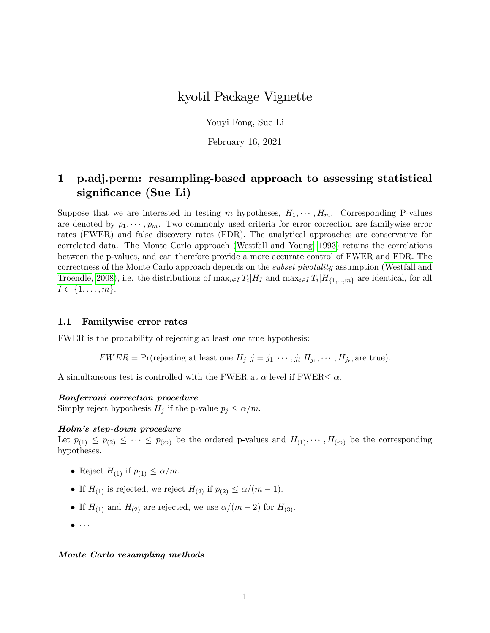# kyotil Package Vignette

Youyi Fong, Sue Li

February 16, 2021

# 1 p.adj.perm: resampling-based approach to assessing statistical significance (Sue Li)

Suppose that we are interested in testing m hypotheses,  $H_1, \cdots, H_m$ . Corresponding P-values are denoted by  $p_1, \dots, p_m$ . Two commonly used criteria for error correction are familywise error rates (FWER) and false discovery rates (FDR). The analytical approaches are conservative for correlated data. The Monte Carlo approach [\(Westfall and Young, 1993\)](#page-2-0) retains the correlations between the p-values, and can therefore provide a more accurate control of FWER and FDR. The correctness of the Monte Carlo approach depends on the subset pivotality assumption [\(Westfall and](#page-2-1) [Troendle, 2008\)](#page-2-1), i.e. the distributions of  $\max_{i \in I} T_i | H_I$  and  $\max_{i \in I} T_i | H_{\{1,\dots,m\}}$  are identical, for all  $I \subset \{1, \ldots, m\}.$ 

### 1.1 Familywise error rates

FWER is the probability of rejecting at least one true hypothesis:

 $FWER = Pr(rejecting at least one  $H_j, j = j_1, \dots, j_t | H_{j_1}, \dots, H_{j_t}$ , are true).$ 

A simultaneous test is controlled with the FWER at  $\alpha$  level if FWER $\leq \alpha$ .

#### Bonferroni correction procedure

Simply reject hypothesis  $H_i$  if the p-value  $p_i \leq \alpha/m$ .

#### Holmís step-down procedure

Let  $p_{(1)} \leq p_{(2)} \leq \cdots \leq p_{(m)}$  be the ordered p-values and  $H_{(1)}, \cdots, H_{(m)}$  be the corresponding hypotheses.

- Reject  $H_{(1)}$  if  $p_{(1)} \le \alpha/m$ .
- If  $H_{(1)}$  is rejected, we reject  $H_{(2)}$  if  $p_{(2)} \le \alpha/(m 1)$ .
- If  $H_{(1)}$  and  $H_{(2)}$  are rejected, we use  $\alpha/(m 2)$  for  $H_{(3)}$ .
- $\bullet \cdot \cdot \cdot$

#### Monte Carlo resampling methods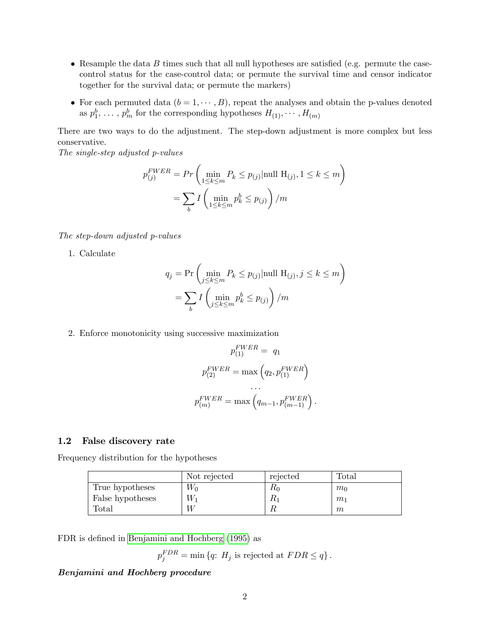- Resample the data  $B$  times such that all null hypotheses are satisfied (e.g. permute the casecontrol status for the case-control data; or permute the survival time and censor indicator together for the survival data; or permute the markers)
- For each permuted data  $(b = 1, \dots, B)$ , repeat the analyses and obtain the p-values denoted as  $p_1^b, \ldots, p_m^b$  for the corresponding hypotheses  $H_{(1)}, \cdots, H_{(m)}$

There are two ways to do the adjustment. The step-down adjustment is more complex but less conservative.

The single-step adjusted p-values

$$
p_{(j)}^{FWER} = Pr\left(\min_{1 \le k \le m} P_k \le p_{(j)}|\text{null H}_{(j)}, 1 \le k \le m\right)
$$

$$
= \sum_b I\left(\min_{1 \le k \le m} p_k^b \le p_{(j)}\right) / m
$$

The step-down adjusted p-values

1. Calculate

$$
q_j = \Pr\left(\min_{j \le k \le m} P_k \le p_{(j)} | \text{null } H_{(j)}, j \le k \le m\right)
$$

$$
= \sum_b I\left(\min_{j \le k \le m} p_k^b \le p_{(j)}\right) / m
$$

2. Enforce monotonicity using successive maximization

$$
p_{(1)}^{FWER} = q_1
$$

$$
p_{(2)}^{FWER} = \max\left(q_2, p_{(1)}^{FWER}\right)
$$

$$
\dots
$$

$$
p_{(m)}^{FWER} = \max\left(q_{m-1}, p_{(m-1)}^{FWER}\right).
$$

#### 1.2 False discovery rate

Frequency distribution for the hypotheses

|                  | Not rejected | rejected | Total          |
|------------------|--------------|----------|----------------|
| True hypotheses  | $W_0$        | rφ       | $m_0$          |
| False hypotheses | $W_1$        | ĸ        | m <sub>1</sub> |
| Total            |              |          | m              |

FDR is defined in [Benjamini and Hochberg](#page-2-2) [\(1995\)](#page-2-2) as

 $p_j^{FDR} = \min \{q: H_j \text{ is rejected at } FDR \leq q\}.$ 

## Benjamini and Hochberg procedure